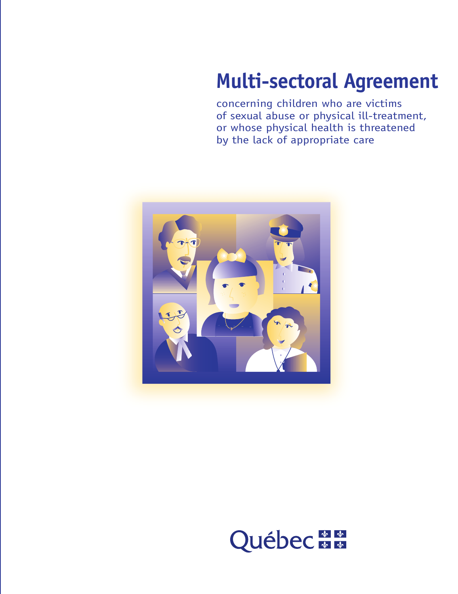# **Multi-sectoral Agreement**

concerning children who are victims of sexual abuse or physical ill-treatment, or whose physical health is threatened by the lack of appropriate care



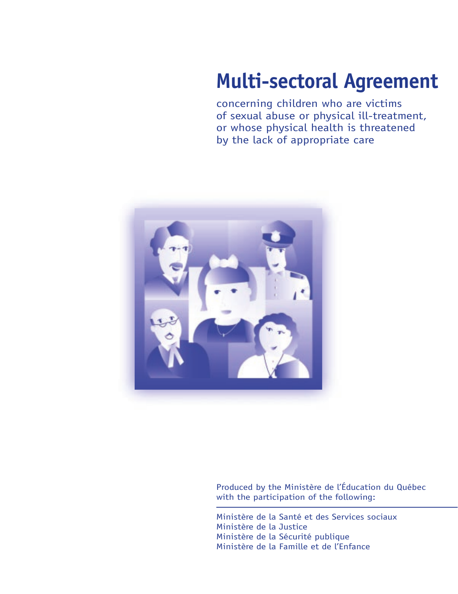# **Multi-sectoral Agreement**

concerning children who are victims of sexual abuse or physical ill-treatment, or whose physical health is threatened by the lack of appropriate care



Produced by the Ministère de l'Éducation du Québec with the participation of the following:

Ministère de la Santé et des Services sociaux Ministère de la Justice Ministère de la Sécurité publique Ministère de la Famille et de l'Enfance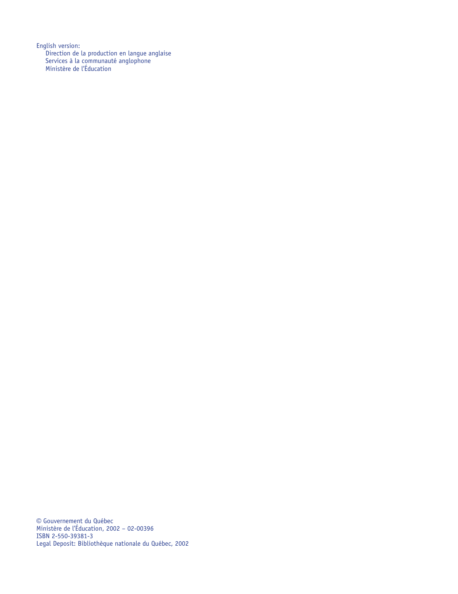English version: Direction de la production en langue anglaise Services à la communauté anglophone Ministère de l'Éducation

© Gouvernement du Québec Ministère de l'Éducation, 2002 – 02-00396 ISBN 2-550-39381-3 Legal Deposit: Bibliothèque nationale du Québec, 2002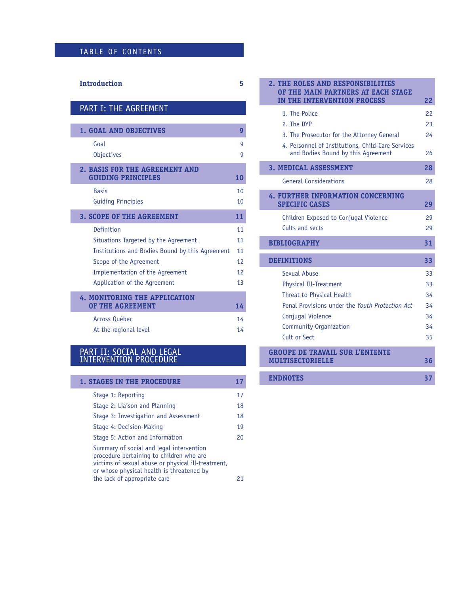# TABLE OF CONTENTS

#### **Introduction 5**

# PART I: THE AGREEMENT

| <b>1. GOAL AND OBJECTIVES</b>                               | 9  |  |  |  |
|-------------------------------------------------------------|----|--|--|--|
| Goal                                                        | q  |  |  |  |
| <b>Objectives</b>                                           | g  |  |  |  |
| 2. BASIS FOR THE AGREEMENT AND<br><b>GUIDING PRINCIPLES</b> | 10 |  |  |  |
| <b>Basis</b>                                                | 10 |  |  |  |
| <b>Guiding Principles</b>                                   | 10 |  |  |  |
| <b>3. SCOPE OF THE AGREEMENT</b>                            | 11 |  |  |  |
| Definition                                                  | 11 |  |  |  |
| Situations Targeted by the Agreement                        | 11 |  |  |  |
| Institutions and Bodies Bound by this Agreement             | 11 |  |  |  |
| Scope of the Agreement                                      | 12 |  |  |  |
| Implementation of the Agreement                             | 12 |  |  |  |
| Application of the Agreement                                | 13 |  |  |  |
| <b>4. MONITORING THE APPLICATION</b>                        |    |  |  |  |
| OF THE AGREEMENT                                            | 14 |  |  |  |
| Across Québec                                               | 14 |  |  |  |
| At the regional level                                       | 14 |  |  |  |

#### PART II: SOCIAL AND LEGAL INTERVENTION PROCEDURE

| <b>1. STAGES IN THE PROCEDURE</b>        |    |
|------------------------------------------|----|
| Stage 1: Reporting                       | 17 |
| Stage 2: Liaison and Planning            | 18 |
| Stage 3: Investigation and Assessment    | 18 |
| Stage 4: Decision-Making                 | 19 |
| Stage 5: Action and Information          | 20 |
| Summary of social and legal intervention |    |

procedure pertaining to children who are victims of sexual abuse or physical ill-treatment, or whose physical health is threatened by the lack of appropriate care **21** 

|                    | 2. THE ROLES AND RESPONSIBILITIES<br>OF THE MAIN PARTNERS AT EACH STAGE                 |    |  |  |
|--------------------|-----------------------------------------------------------------------------------------|----|--|--|
|                    | IN THE INTERVENTION PROCESS                                                             | 22 |  |  |
|                    | 1. The Police                                                                           | 22 |  |  |
|                    | 2. The DYP                                                                              | 23 |  |  |
|                    | 3. The Prosecutor for the Attorney General                                              | 24 |  |  |
|                    | 4. Personnel of Institutions, Child-Care Services<br>and Bodies Bound by this Agreement | 26 |  |  |
|                    | <b>3. MEDICAL ASSESSMENT</b>                                                            | 28 |  |  |
|                    | <b>General Considerations</b>                                                           | 28 |  |  |
|                    | 4. FURTHER INFORMATION CONCERNING<br><b>SPECIFIC CASES</b>                              | 29 |  |  |
|                    | Children Exposed to Conjugal Violence                                                   | 29 |  |  |
|                    | Cults and sects                                                                         | 29 |  |  |
|                    | <b>BIBLIOGRAPHY</b>                                                                     | 31 |  |  |
| <b>DEFINITIONS</b> |                                                                                         |    |  |  |
|                    | Sexual Abuse                                                                            | 33 |  |  |
|                    | <b>Physical Ill-Treatment</b>                                                           | 33 |  |  |
|                    | Threat to Physical Health                                                               | 34 |  |  |
|                    | Penal Provisions under the Youth Protection Act                                         | 34 |  |  |
|                    | Conjugal Violence                                                                       | 34 |  |  |
|                    | <b>Community Organization</b>                                                           | 34 |  |  |
|                    | Cult or Sect                                                                            | 35 |  |  |
|                    | <b>GROUPE DE TRAVAIL SUR L'ENTENTE</b>                                                  |    |  |  |
|                    | <b>MULTISECTORIELLE</b>                                                                 | 36 |  |  |

#### **ENDNOTES** 37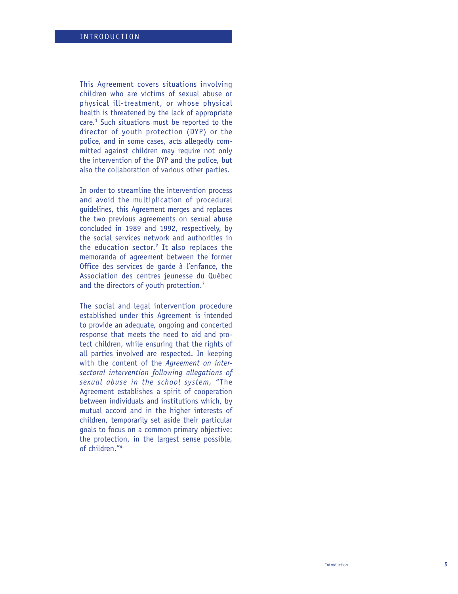This Agreement covers situations involving children who are victims of sexual abuse or physical ill-treatment, or whose physical health is threatened by the lack of appropriate care. <sup>1</sup> Such situations must be reported to the director of youth protection (DYP) or the police, and in some cases, acts allegedly committed against children may require not only the intervention of the DYP and the police, but also the collaboration of various other parties.

In order to streamline the intervention process and avoid the multiplication of procedural guidelines, this Agreement merges and replaces the two previous agreements on sexual abuse concluded in 1989 and 1992, respectively, by the social services network and authorities in the education sector. <sup>2</sup> It also replaces the memoranda of agreement between the former Office des services de garde à l 'enfance, the Association des centres jeunesse du Qu ébec and the directors of youth protection.<sup>3</sup>

The social and legal intervention procedure established under this Agreement is intended to provide an adequate, ongoing and concerted response that meets the need to aid and protect children, while ensuring that the rights of all parties involved are respected. In keeping with the content of the *Agreement on intersectoral intervention following allegations of sexual abuse in the school system,*  "The Agreement establishes a spirit of cooperation between individuals and institutions which, by mutual accord and in the higher interests of children, temporarily set aside their particular goals to focus on a common primary objective: the protection, in the largest sense possible, of children. " 4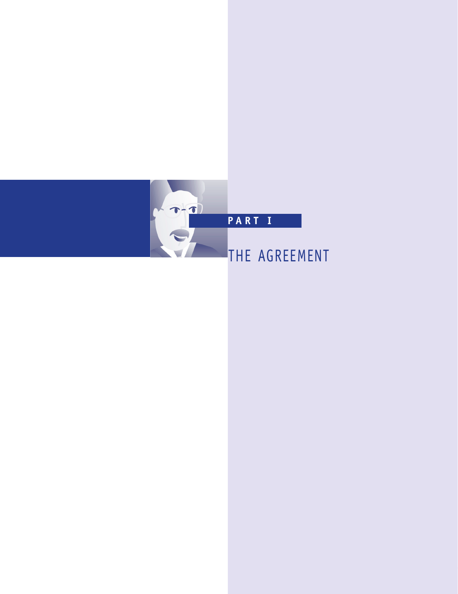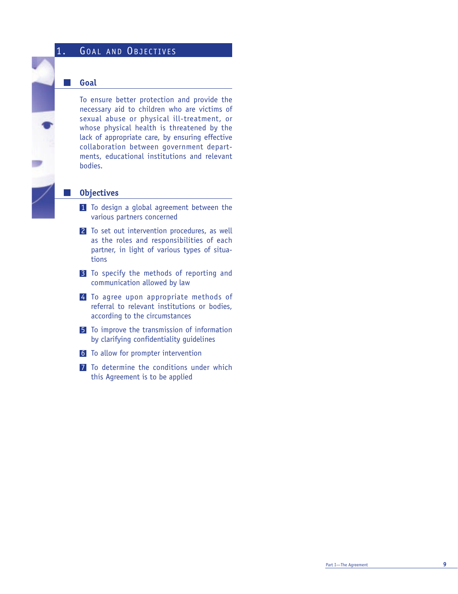# 1. GOAL AND OBJECTIVES

#### **Goal**

 $\mathbb{R}^3$ 

To ensure better protection and provide the necessary aid to children who are victims of sexual abuse or physical ill-treatment, or whose physical health is threatened by the lack of appropriate care, by ensuring effective collaboration between government departments, educational institutions and relevant bodies.

#### **Objectives**

- 1 To design a global agreement between the various partners concerned
- 2 To set out intervention procedures, as well as the roles and responsibilities of each partner, in light of various types of situations
- **3** To specify the methods of reporting and communication allowed by law
- 4 To agree upon appropriate methods of referral to relevant institutions or bodies, according to the circumstances
- 5 To improve the transmission of information by clarifying confidentiality guidelines
- 6 To allow for prompter intervention
- 7 To determine the conditions under which this Agreement is to be applied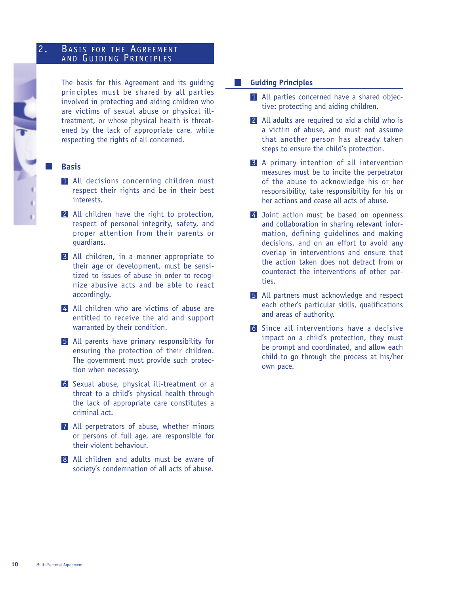### 2. BASIS FOR THE AGREEMENT AND GUIDING PRINCIPLES

The basis for this Agreement and its guiding principles must be shared by all parties involved in protecting and aiding children who are victims of sexual abuse or physical illtreatment, or whose physical health is threatened by the lack of appropriate care, while respecting the rights of all concerned.

#### **Basis**

- 1 All decisions concerning children must respect their rights and be in their best interests.
- 2 All children have the right to protection, respect of personal integrity, safety, and proper attention from their parents or guardians.
- 3 All children, in a manner appropriate to their age or development, must be sensitized to issues of abuse in order to recognize abusive acts and be able to react accordingly.
- 4 All children who are victims of abuse are entitled to receive the aid and support warranted by their condition.
- 5 All parents have primary responsibility for ensuring the protection of their children. The government must provide such protection when necessary.
- 6 Sexual abuse, physical ill-treatment or a threat to a child's physical health through the lack of appropriate care constitutes a criminal act.
- 7 All perpetrators of abuse, whether minors or persons of full age, are responsible for their violent behaviour.
- 8 All children and adults must be aware of society's condemnation of all acts of abuse.

#### **Guiding Principles**  I.

- 1 All parties concerned have a shared objective: protecting and aiding children.
- 2 All adults are required to aid a child who is a victim of abuse, and must not assume that another person has already taken steps to ensure the child's protection.
- 3 A primary intention of all intervention measures must be to incite the perpetrator of the abuse to acknowledge his or her responsibility, take responsibility for his or her actions and cease all acts of abuse.
- 4 Joint action must be based on openness and collaboration in sharing relevant information, defining guidelines and making decisions, and on an effort to avoid any overlap in interventions and ensure that the action taken does not detract from or counteract the interventions of other parties.
- 5 All partners must acknowledge and respect each other's particular skills, qualifications and areas of authority.
- 6 Since all interventions have a decisive impact on a child's protection, they must be prompt and coordinated, and allow each child to go through the process at his/her own pace.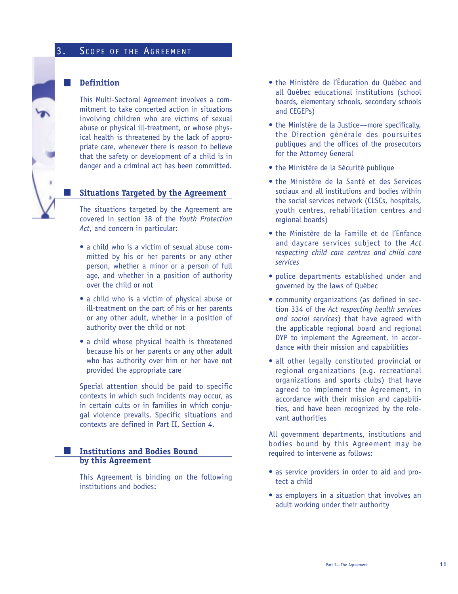# 3. SCOPE OF THE AGREEMENT

#### **Definition**

This Multi-Sectoral Agreement involves a commitment to take concerted action in situations involving children who are victims of sexual abuse or physical ill-treatment, or whose physical health is threatened by the lack of appropriate care, whenever there is reason to believe that the safety or development of a child is in danger and a criminal act has been committed.

#### **Situations Targeted by the Agreement**

The situations targeted by the Agreement are covered in section 38 of the *Youth Protection Act*, and concern in particular:

- a child who is a victim of sexual abuse committed by his or her parents or any other person, whether a minor or a person of full age, and whether in a position of authority over the child or not
- a child who is a victim of physical abuse or ill-treatment on the part of his or her parents or any other adult, whether in a position of authority over the child or not
- a child whose physical health is threatened because his or her parents or any other adult who has authority over him or her have not provided the appropriate care

Special attention should be paid to specific contexts in which such incidents may occur, as in certain cults or in families in which conjugal violence prevails. Specific situations and contexts are defined in Part II, Section 4.

### **Institutions and Bodies Bound by this Agreement**

This Agreement is binding on the following institutions and bodies:

- the Ministère de l'Éducation du Québec and all Québec educational institutions (school boards, elementary schools, secondary schools and CEGEPs)
- the Ministère de la Justice—more specifically, the Direction générale des poursuites publiques and the offices of the prosecutors for the Attorney General
- the Ministère de la Sécurité publique
- the Ministère de la Santé et des Services sociaux and all institutions and bodies within the social services network (CLSCs, hospitals, youth centres, rehabilitation centres and regional boards)
- the Ministère de la Famille et de l'Enfance and daycare services subject to the *Act respecting child care centres and child care services*
- police departments established under and governed by the laws of Québec
- community organizations (as defined in section 334 of the *Act respecting health services and social services*) that have agreed with the applicable regional board and regional DYP to implement the Agreement, in accordance with their mission and capabilities
- all other legally constituted provincial or regional organizations (e.g. recreational organizations and sports clubs) that have agreed to implement the Agreement, in accordance with their mission and capabilities, and have been recognized by the relevant authorities

All government departments, institutions and bodies bound by this Agreement may be required to intervene as follows:

- as service providers in order to aid and protect a child
- as employers in a situation that involves an adult working under their authority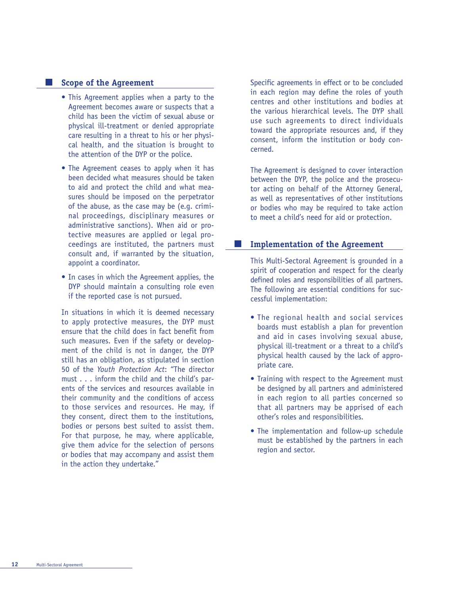#### **Scope of the Agreement**

- This Agreement applies when a party to the Agreement becomes aware or suspects that a child has been the victim of sexual abuse or physical ill-treatment or denied appropriate care resulting in a threat to his or her physical health, and the situation is brought to the attention of the DYP or the police.
- The Agreement ceases to apply when it has been decided what measures should be taken to aid and protect the child and what measures should be imposed on the perpetrator of the abuse, as the case may be (e.g. criminal proceedings, disciplinary measures or administrative sanctions). When aid or protective measures are applied or legal proceedings are instituted, the partners must consult and, if warranted by the situation, appoint a coordinator.
- In cases in which the Agreement applies, the DYP should maintain a consulting role even if the reported case is not pursued.

In situations in which it is deemed necessary to apply protective measures, the DYP must ensure that the child does in fact benefit from such measures. Even if the safety or development of the child is not in danger, the DYP still has an obligation, as stipulated in section 50 of the *Youth Protection Act*: "The director must . . . inform the child and the child's parents of the services and resources available in their community and the conditions of access to those services and resources. He may, if they consent, direct them to the institutions, bodies or persons best suited to assist them. For that purpose, he may, where applicable, give them advice for the selection of persons or bodies that may accompany and assist them in the action they undertake."

Specific agreements in effect or to be concluded in each region may define the roles of youth centres and other institutions and bodies at the various hierarchical levels. The DYP shall use such agreements to direct individuals toward the appropriate resources and, if they consent, inform the institution or body concerned.

The Agreement is designed to cover interaction between the DYP, the police and the prosecutor acting on behalf of the Attorney General, as well as representatives of other institutions or bodies who may be required to take action to meet a child's need for aid or protection.

#### $\mathcal{L}_{\mathcal{A}}$ **Implementation of the Agreement**

This Multi-Sectoral Agreement is grounded in a spirit of cooperation and respect for the clearly defined roles and responsibilities of all partners. The following are essential conditions for successful implementation:

- The regional health and social services boards must establish a plan for prevention and aid in cases involving sexual abuse, physical ill-treatment or a threat to a child's physical health caused by the lack of appropriate care.
- Training with respect to the Agreement must be designed by all partners and administered in each region to all parties concerned so that all partners may be apprised of each other's roles and responsibilities.
- The implementation and follow-up schedule must be established by the partners in each region and sector.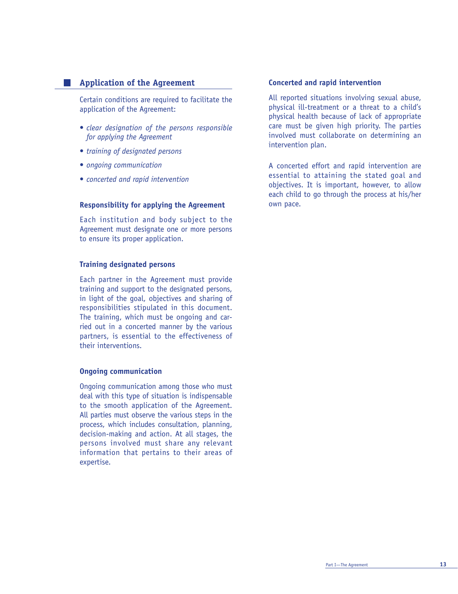#### **Application of the Agreement**

Certain conditions are required to facilitate the application of the Agreement:

- *clear designation of the persons responsible for applying the Agreement*
- *training of designated persons*
- *ongoing communication*
- *concerted and rapid intervention*

#### **Responsibility for applying the Agreement**

Each institution and body subject to the Agreement must designate one or more persons to ensure its proper application.

#### **Training designated persons**

Each partner in the Agreement must provide training and support to the designated persons, in light of the goal, objectives and sharing of responsibilities stipulated in this document. The training, which must be ongoing and carried out in a concerted manner by the various partners, is essential to the effectiveness of their interventions.

#### **Ongoing communication**

Ongoing communication among those who must deal with this type of situation is indispensable to the smooth application of the Agreement. All parties must observe the various steps in the process, which includes consultation, planning, decision-making and action. At all stages, the persons involved must share any relevant information that pertains to their areas of expertise.

#### **Concerted and rapid intervention**

All reported situations involving sexual abuse, physical ill-treatment or a threat to a child's physical health because of lack of appropriate care must be given high priority. The parties involved must collaborate on determining an intervention plan.

A concerted effort and rapid intervention are essential to attaining the stated goal and objectives. It is important, however, to allow each child to go through the process at his/her own pace.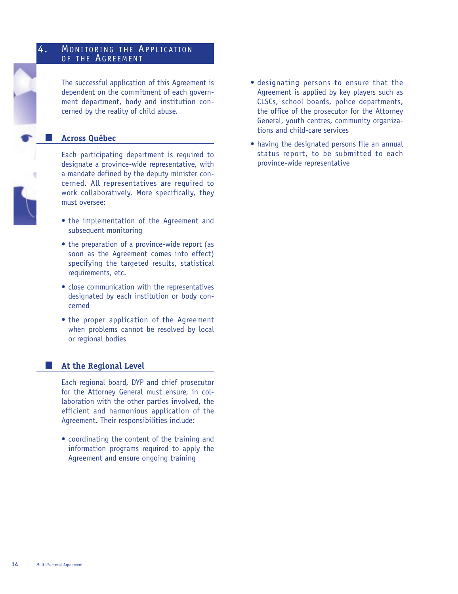#### 4. MONITORING THE APPLICATION OF THE AGREEMENT

The successful application of this Agreement is dependent on the commitment of each government department, body and institution concerned by the reality of child abuse.

## **Across Québec**



Each participating department is required to designate a province-wide representative, with a mandate defined by the deputy minister concerned. All representatives are required to work collaboratively. More specifically, they must oversee:

- the implementation of the Agreement and subsequent monitoring
- the preparation of a province-wide report (as soon as the Agreement comes into effect) specifying the targeted results, statistical requirements, etc.
- close communication with the representatives designated by each institution or body concerned
- the proper application of the Agreement when problems cannot be resolved by local or regional bodies

#### **At the Regional Level**

Each regional board, DYP and chief prosecutor for the Attorney General must ensure, in collaboration with the other parties involved, the efficient and harmonious application of the Agreement. Their responsibilities include:

• coordinating the content of the training and information programs required to apply the Agreement and ensure ongoing training

- designating persons to ensure that the Agreement is applied by key players such as CLSCs, school boards, police departments, the office of the prosecutor for the Attorney General, youth centres, community organizations and child-care services
- having the designated persons file an annual status report, to be submitted to each province-wide representative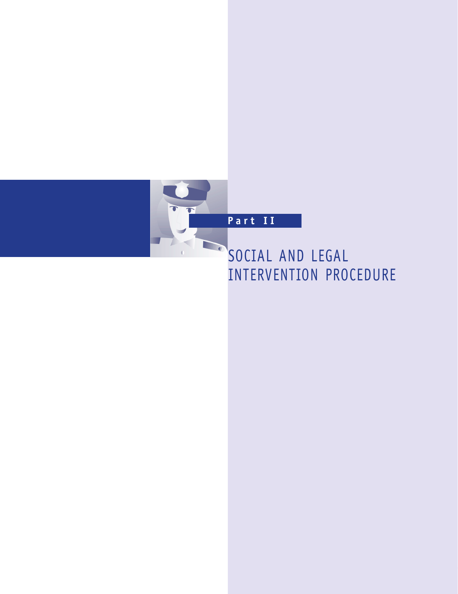

# SOCIAL AND LEGAL INTERVENTION PROCEDURE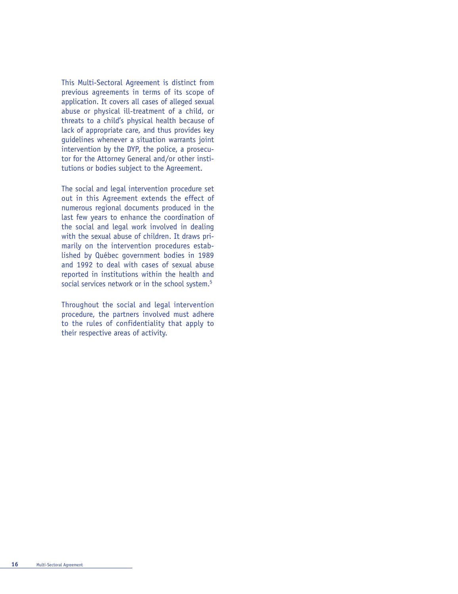This Multi-Sectoral Agreement is distinct from previous agreements in terms of its scope of application. It covers all cases of alleged sexual abuse or physical ill-treatment of a child, or threats to a child's physical health because of lack of appropriate care, and thus provides key guidelines whenever a situation warrants joint intervention by the DYP, the police, a prosecutor for the Attorney General and/or other institutions or bodies subject to the Agreement.

The social and legal intervention procedure set out in this Agreement extends the effect of numerous regional documents produced in the last few years to enhance the coordination of the social and legal work involved in dealing with the sexual abuse of children. It draws primarily on the intervention procedures established by Québec government bodies in 1989 and 1992 to deal with cases of sexual abuse reported in institutions within the health and social services network or in the school system.<sup>5</sup>

Throughout the social and legal intervention procedure, the partners involved must adhere to the rules of confidentiality that apply to their respective areas of activity.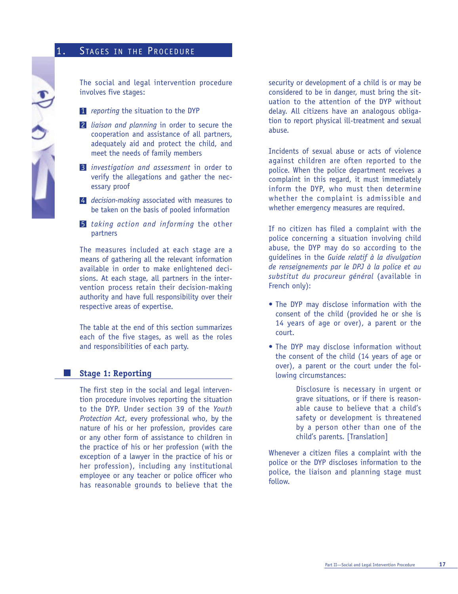# 1. STAGES IN THE PROCEDURE



The social and legal intervention procedure involves five stages:

- 1 *reporting* the situation to the DYP
- 2 *liaison and planning* in order to secure the cooperation and assistance of all partners, adequately aid and protect the child, and meet the needs of family members
- 3 *investigation and assessment* in order to verify the allegations and gather the necessary proof
- 4 *decision-making* associated with measures to be taken on the basis of pooled information
- 5 *taking action and informing* the other partners

The measures included at each stage are a means of gathering all the relevant information available in order to make enlightened decisions. At each stage, all partners in the intervention process retain their decision-making authority and have full responsibility over their respective areas of expertise.

The table at the end of this section summarizes each of the five stages, as well as the roles and responsibilities of each party.

#### **Stage 1: Reporting**

**Contract** 

The first step in the social and legal intervention procedure involves reporting the situation to the DYP. Under section 39 of the *Youth Protection Act*, every professional who, by the nature of his or her profession, provides care or any other form of assistance to children in the practice of his or her profession (with the exception of a lawyer in the practice of his or her profession), including any institutional employee or any teacher or police officer who has reasonable grounds to believe that the

security or development of a child is or may be considered to be in danger, must bring the situation to the attention of the DYP without delay. All citizens have an analogous obligation to report physical ill-treatment and sexual abuse.

Incidents of sexual abuse or acts of violence against children are often reported to the police. When the police department receives a complaint in this regard, it must immediately inform the DYP, who must then determine whether the complaint is admissible and whether emergency measures are required.

If no citizen has filed a complaint with the police concerning a situation involving child abuse, the DYP may do so according to the guidelines in the *Guide relatif à la divulgation de renseignements par le DPJ à la police et au substitut du procureur général* (available in French only):

- The DYP may disclose information with the consent of the child (provided he or she is 14 years of age or over), a parent or the court.
- The DYP may disclose information without the consent of the child (14 years of age or over), a parent or the court under the following circumstances:

Disclosure is necessary in urgent or grave situations, or if there is reasonable cause to believe that a child's safety or development is threatened by a person other than one of the child's parents. [Translation]

Whenever a citizen files a complaint with the police or the DYP discloses information to the police, the liaison and planning stage must follow.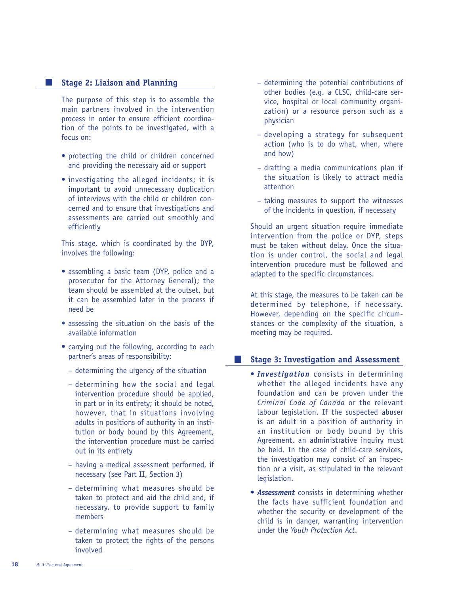#### **Stage 2: Liaison and Planning**

The purpose of this step is to assemble the main partners involved in the intervention process in order to ensure efficient coordination of the points to be investigated, with a focus on:

- protecting the child or children concerned and providing the necessary aid or support
- investigating the alleged incidents; it is important to avoid unnecessary duplication of interviews with the child or children concerned and to ensure that investigations and assessments are carried out smoothly and efficiently

This stage, which is coordinated by the DYP, involves the following:

- assembling a basic team (DYP, police and a prosecutor for the Attorney General); the team should be assembled at the outset, but it can be assembled later in the process if need be
- assessing the situation on the basis of the available information
- carrying out the following, according to each partner's areas of responsibility:
	- determining the urgency of the situation
	- determining how the social and legal intervention procedure should be applied, in part or in its entirety; it should be noted, however, that in situations involving adults in positions of authority in an institution or body bound by this Agreement, the intervention procedure must be carried out in its entirety
	- having a medical assessment performed, if necessary (see Part II, Section 3)
	- determining what measures should be taken to protect and aid the child and, if necessary, to provide support to family members
	- determining what measures should be taken to protect the rights of the persons involved
- determining the potential contributions of other bodies (e.g. a CLSC, child-care service, hospital or local community organization) or a resource person such as a physician
- developing a strategy for subsequent action (who is to do what, when, where and how)
- drafting a media communications plan if the situation is likely to attract media attention
- taking measures to support the witnesses of the incidents in question, if necessary

Should an urgent situation require immediate intervention from the police or DYP, steps must be taken without delay. Once the situation is under control, the social and legal intervention procedure must be followed and adapted to the specific circumstances.

At this stage, the measures to be taken can be determined by telephone, if necessary. However, depending on the specific circumstances or the complexity of the situation, a meeting may be required.

#### **Stage 3: Investigation and Assessment**  l s

- *Investigation* consists in determining whether the alleged incidents have any foundation and can be proven under the *Criminal Code of Canada* or the relevant labour legislation. If the suspected abuser is an adult in a position of authority in an institution or body bound by this Agreement, an administrative inquiry must be held. In the case of child-care services, the investigation may consist of an inspection or a visit, as stipulated in the relevant legislation.
- *Assessment* consists in determining whether the facts have sufficient foundation and whether the security or development of the child is in danger, warranting intervention under the *Youth Protection Act*.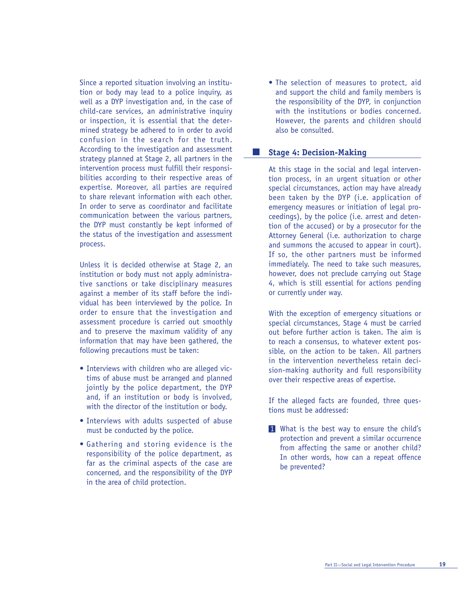Since a reported situation involving an institution or body may lead to a police inquiry, as well as a DYP investigation and, in the case of child-care services, an administrative inquiry or inspection, it is essential that the determined strategy be adhered to in order to avoid confusion in the search for the truth. According to the investigation and assessment strategy planned at Stage 2, all partners in the intervention process must fulfill their responsibilities according to their respective areas of expertise. Moreover, all parties are required to share relevant information with each other. In order to serve as coordinator and facilitate communication between the various partners, the DYP must constantly be kept informed of the status of the investigation and assessment process.

Unless it is decided otherwise at Stage 2, an institution or body must not apply administrative sanctions or take disciplinary measures against a member of its staff before the individual has been interviewed by the police. In order to ensure that the investigation and assessment procedure is carried out smoothly and to preserve the maximum validity of any information that may have been gathered, the following precautions must be taken:

- Interviews with children who are alleged victims of abuse must be arranged and planned jointly by the police department, the DYP and, if an institution or body is involved, with the director of the institution or body.
- Interviews with adults suspected of abuse must be conducted by the police.
- Gathering and storing evidence is the responsibility of the police department, as far as the criminal aspects of the case are concerned, and the responsibility of the DYP in the area of child protection.

• The selection of measures to protect, aid and support the child and family members is the responsibility of the DYP, in conjunction with the institutions or bodies concerned. However, the parents and children should also be consulted.

#### **Stage 4: Decision-Making**

 $\mathcal{L}^{\text{max}}$ 

At this stage in the social and legal intervention process, in an urgent situation or other special circumstances, action may have already been taken by the DYP (i.e. application of emergency measures or initiation of legal proceedings), by the police (i.e. arrest and detention of the accused) or by a prosecutor for the Attorney General (i.e. authorization to charge and summons the accused to appear in court). If so, the other partners must be informed immediately. The need to take such measures, however, does not preclude carrying out Stage 4, which is still essential for actions pending or currently under way.

With the exception of emergency situations or special circumstances, Stage 4 must be carried out before further action is taken. The aim is to reach a consensus, to whatever extent possible, on the action to be taken. All partners in the intervention nevertheless retain decision-making authority and full responsibility over their respective areas of expertise.

If the alleged facts are founded, three questions must be addressed:

1 What is the best way to ensure the child's protection and prevent a similar occurrence from affecting the same or another child? In other words, how can a repeat offence be prevented?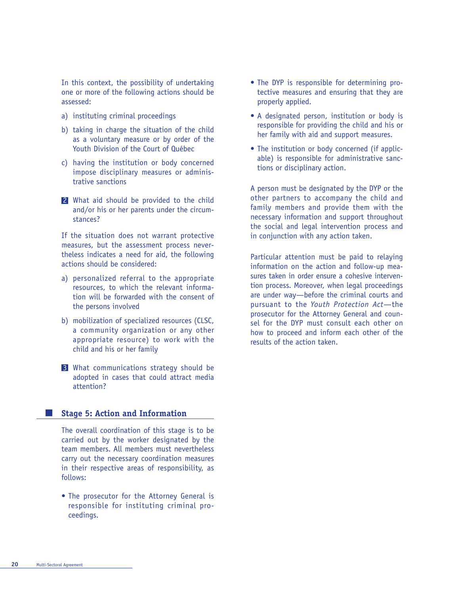In this context, the possibility of undertaking one or more of the following actions should be assessed:

- a) instituting criminal proceedings
- b) taking in charge the situation of the child as a voluntary measure or by order of the Youth Division of the Court of Québec
- c) having the institution or body concerned impose disciplinary measures or administrative sanctions
- 2 What aid should be provided to the child and/or his or her parents under the circumstances?

If the situation does not warrant protective measures, but the assessment process nevertheless indicates a need for aid, the following actions should be considered:

- a) personalized referral to the appropriate resources, to which the relevant information will be forwarded with the consent of the persons involved
- b) mobilization of specialized resources (CLSC, a community organization or any other appropriate resource) to work with the child and his or her family
- 3 What communications strategy should be adopted in cases that could attract media attention?

#### **Stage 5: Action and Information**

The overall coordination of this stage is to be carried out by the worker designated by the team members. All members must nevertheless carry out the necessary coordination measures in their respective areas of responsibility, as follows:

• The prosecutor for the Attorney General is responsible for instituting criminal proceedings.

- The DYP is responsible for determining protective measures and ensuring that they are properly applied.
- A designated person, institution or body is responsible for providing the child and his or her family with aid and support measures.
- The institution or body concerned (if applicable) is responsible for administrative sanctions or disciplinary action.

A person must be designated by the DYP or the other partners to accompany the child and family members and provide them with the necessary information and support throughout the social and legal intervention process and in conjunction with any action taken.

Particular attention must be paid to relaying information on the action and follow-up measures taken in order ensure a cohesive intervention process. Moreover, when legal proceedings are under way—before the criminal courts and pursuant to the *Youth Protection Act*—the prosecutor for the Attorney General and counsel for the DYP must consult each other on how to proceed and inform each other of the results of the action taken.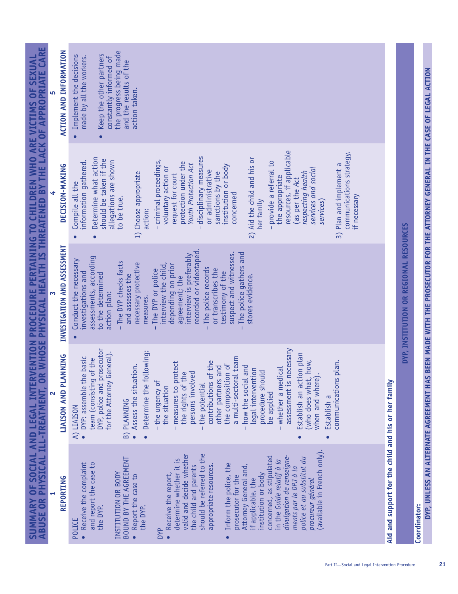| SUMMARY OF SOCIAL AND LEGAL INTERVENTION PROCEDURE PERTAINING TO CHILDREN WHO ARE VICTIMS OF SEXUAL<br>ABUSE OR PHYSICAL ILL-TREATMENT, OR WHOSE PHYSICAL HEALTH IS THREATENED BY THE LACK OF APPROPRIATE CARE | <b>ACTION AND INFORMATION</b><br>DECISION-MAKING | the progress being made<br>Keep the other partners<br>Implement the decisions<br>made by all the workers.<br>constantly informed of<br>and the results of the<br>action taken.<br>resources, if applicable<br>communications strategy,<br>disciplinary measures<br>Determine what action<br>2) Aid the child and his or<br>should be taken if the<br>allegations are shown<br>- criminal proceedings,<br>information gathered.<br>protection under the<br>- provide a referral to<br><b>Youth Protection Act</b><br>3) Plan and implement a<br>institution or body<br>voluntary action or<br>services and social<br>or administrative<br>1) Choose appropriate<br>respecting health<br>sanctions by the<br>request for court<br>the appropriate<br>(as per the Act<br>Compile all the<br>concerned<br>if necessary<br>to be true.<br>her family<br>services)<br>action: |                                        |
|----------------------------------------------------------------------------------------------------------------------------------------------------------------------------------------------------------------|--------------------------------------------------|-------------------------------------------------------------------------------------------------------------------------------------------------------------------------------------------------------------------------------------------------------------------------------------------------------------------------------------------------------------------------------------------------------------------------------------------------------------------------------------------------------------------------------------------------------------------------------------------------------------------------------------------------------------------------------------------------------------------------------------------------------------------------------------------------------------------------------------------------------------------------|----------------------------------------|
|                                                                                                                                                                                                                | INVESTIGATION AND ASSESSMENT                     | recorded or videotaped.<br>The police gathers and<br>suspect and witnesses.<br>interview is preferably<br>assessments, according<br>Conduct the necessary<br>- The DYP checks facts<br>necessary protective<br>interview the child,<br>depending on prior<br>The police records<br>or transcribes the<br>The DYP or police<br>testimony of the<br>investigations and<br>to the determined<br>and assesses the<br>stores evidence.<br>agreement; the<br>action plan:<br>measures.<br>$\mathbf{I}$<br>$\mathbf{I}$                                                                                                                                                                                                                                                                                                                                                        | DYP, INSTITUTION OR REGIONAL RESOURCES |
|                                                                                                                                                                                                                | LIAISON AND PLANNING                             | prosecutor<br>assessment is necessary<br>:butwollo<br>General).<br>Establish an action plan<br>DYP: assemble the basic<br>a multi-sectoral team<br>team (consisting of the<br>(who does what, how,<br>when and where).<br>communications plan.<br>of the<br>measures to protect<br>the composition of<br>Assess the situation.<br>how the social and<br>other partners and<br>- whether a medical<br>legal intervention<br>procedure should<br>persons involved<br>the rights of the<br>for the Attorney<br>- the urgency of<br>contributions<br>Determine the f<br>DYP, police and<br>the potential<br>the situation<br>be applied<br>Establish a<br><b>B) PLANNING</b><br>A) LIAISON<br>Ť                                                                                                                                                                             |                                        |
|                                                                                                                                                                                                                | REPORTING                                        | Aid and support for the child and his or her family<br>(available in French only).<br>should be referred to the<br>valid and decide whether<br>divulgation de renseigne-<br>concerned, as stipulated<br>BOUND BY THE AGREEMENT<br>police et au substitut du<br>determine whether it is<br>in the Guide relatif à la<br>Receive the complaint<br>and report the case to<br>Inform the police, the<br>appropriate resources.<br>the child and parents<br>Attorney General and,<br>ments par le DPJ à la<br>INSTITUTION OR BODY<br>• Receive the report,<br>institution or body<br>Report the case to<br>prosecutor for the<br>if applicable, the<br>procureur général<br>the DYP.<br>the DYP.<br>POLICE<br><b>DYP</b>                                                                                                                                                     | Coordinator:                           |

SUMMARY OF SOCTAL AND LEGAL TNTERVENTION PROCEDURE PERTATNTNG TO CHTLDREN WHO ARE VICTIMS OF SEXUAL

**DYP, UNLESS AN ALTERNATE AGREEMENT HAS BEEN MADE WITH THE PROSECUTOR FOR THE ATTORNEY GENERAL IN THE CASE OF LEGAL ACTION**

DYP, UNLESS AN ALTERNATE AGREEMENT HAS BEEN MADE WITH THE PROSECUTOR FOR THE ATTORNEY GENERAL IN THE CASE OF LEGAL ACTION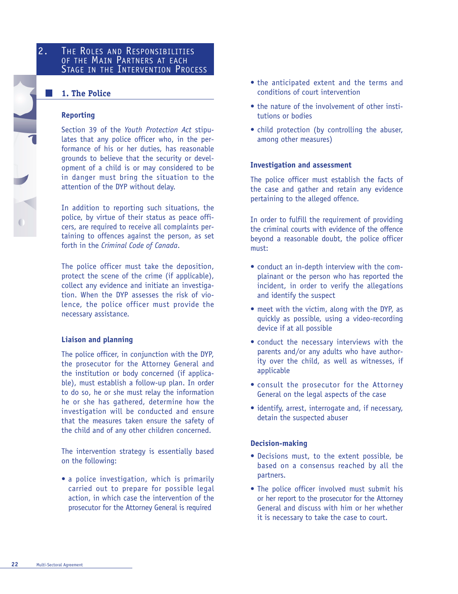## 2. THE ROLES AND RESPONSIBILITIES OF THE MAIN PARTNERS AT EACH STAGE IN THE INTERVENTION PROCESS

## **1. The Police**

### **Reporting**

Section 39 of the *Youth Protection Act* stipulates that any police officer who, in the performance of his or her duties, has reasonable grounds to believe that the security or development of a child is or may considered to be in danger must bring the situation to the attention of the DYP without delay.

In addition to reporting such situations, the police, by virtue of their status as peace officers, are required to receive all complaints pertaining to offences against the person, as set forth in the *Criminal Code of Canada*.

The police officer must take the deposition, protect the scene of the crime (if applicable), collect any evidence and initiate an investigation. When the DYP assesses the risk of violence, the police officer must provide the necessary assistance.

#### **Liaison and planning**

The police officer, in conjunction with the DYP, the prosecutor for the Attorney General and the institution or body concerned (if applicable), must establish a follow-up plan. In order to do so, he or she must relay the information he or she has gathered, determine how the investigation will be conducted and ensure that the measures taken ensure the safety of the child and of any other children concerned.

The intervention strategy is essentially based on the following:

• a police investigation, which is primarily carried out to prepare for possible legal action, in which case the intervention of the prosecutor for the Attorney General is required

- the anticipated extent and the terms and conditions of court intervention
- the nature of the involvement of other institutions or bodies
- child protection (by controlling the abuser, among other measures)

#### **Investigation and assessment**

The police officer must establish the facts of the case and gather and retain any evidence pertaining to the alleged offence.

In order to fulfill the requirement of providing the criminal courts with evidence of the offence beyond a reasonable doubt, the police officer must:

- conduct an in-depth interview with the complainant or the person who has reported the incident, in order to verify the allegations and identify the suspect
- meet with the victim, along with the DYP, as quickly as possible, using a video-recording device if at all possible
- conduct the necessary interviews with the parents and/or any adults who have authority over the child, as well as witnesses, if applicable
- consult the prosecutor for the Attorney General on the legal aspects of the case
- identify, arrest, interrogate and, if necessary, detain the suspected abuser

### **Decision-making**

- Decisions must, to the extent possible, be based on a consensus reached by all the partners.
- The police officer involved must submit his or her report to the prosecutor for the Attorney General and discuss with him or her whether it is necessary to take the case to court.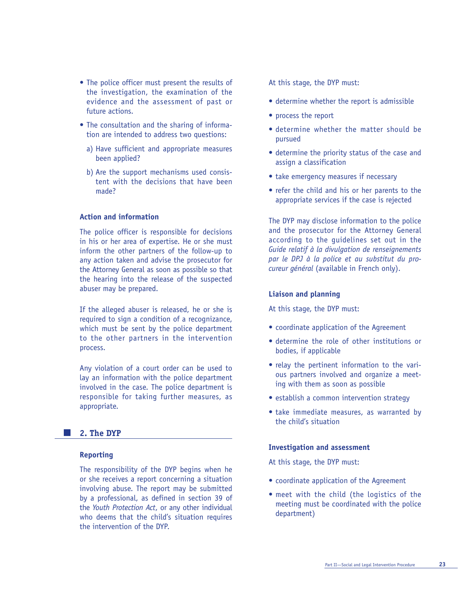- The police officer must present the results of the investigation, the examination of the evidence and the assessment of past or future actions.
- The consultation and the sharing of information are intended to address two questions:
	- a) Have sufficient and appropriate measures been applied?
	- b) Are the support mechanisms used consistent with the decisions that have been made?

### **Action and information**

The police officer is responsible for decisions in his or her area of expertise. He or she must inform the other partners of the follow-up to any action taken and advise the prosecutor for the Attorney General as soon as possible so that the hearing into the release of the suspected abuser may be prepared.

If the alleged abuser is released, he or she is required to sign a condition of a recognizance, which must be sent by the police department to the other partners in the intervention process.

Any violation of a court order can be used to lay an information with the police department involved in the case. The police department is responsible for taking further measures, as appropriate.

#### $\sim 10$ **2. The DYP**

#### **Reporting**

The responsibility of the DYP begins when he or she receives a report concerning a situation involving abuse. The report may be submitted by a professional, as defined in section 39 of the *Youth Protection Act*, or any other individual who deems that the child's situation requires the intervention of the DYP.

At this stage, the DYP must:

- determine whether the report is admissible
- process the report
- determine whether the matter should be pursued
- determine the priority status of the case and assign a classification
- take emergency measures if necessary
- refer the child and his or her parents to the appropriate services if the case is rejected

The DYP may disclose information to the police and the prosecutor for the Attorney General according to the guidelines set out in the *Guide relatif à la divulgation de renseignements par le DPJ à la police et au substitut du procureur général* (available in French only).

#### **Liaison and planning**

At this stage, the DYP must:

- coordinate application of the Agreement
- determine the role of other institutions or bodies, if applicable
- relay the pertinent information to the various partners involved and organize a meeting with them as soon as possible
- establish a common intervention strategy
- take immediate measures, as warranted by the child's situation

#### **Investigation and assessment**

At this stage, the DYP must:

- coordinate application of the Agreement
- meet with the child (the logistics of the meeting must be coordinated with the police department)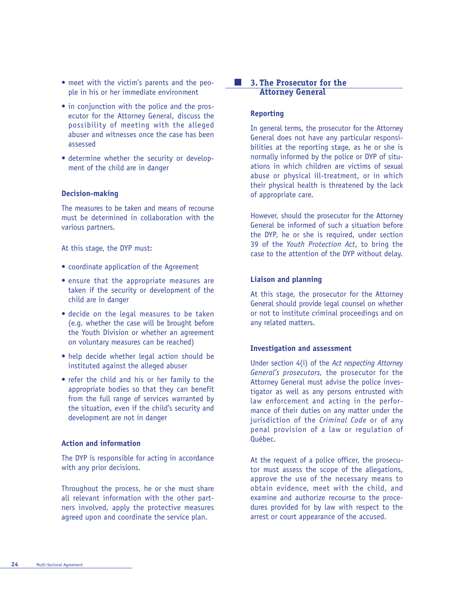- meet with the victim's parents and the people in his or her immediate environment
- in conjunction with the police and the prosecutor for the Attorney General, discuss the possibility of meeting with the alleged abuser and witnesses once the case has been assessed
- determine whether the security or development of the child are in danger

#### **Decision-making**

The measures to be taken and means of recourse must be determined in collaboration with the various partners.

At this stage, the DYP must:

- coordinate application of the Agreement
- ensure that the appropriate measures are taken if the security or development of the child are in danger
- decide on the legal measures to be taken (e.g. whether the case will be brought before the Youth Division or whether an agreement on voluntary measures can be reached)
- help decide whether legal action should be instituted against the alleged abuser
- refer the child and his or her family to the appropriate bodies so that they can benefit from the full range of services warranted by the situation, even if the child's security and development are not in danger

#### **Action and information**

The DYP is responsible for acting in accordance with any prior decisions.

Throughout the process, he or she must share all relevant information with the other partners involved, apply the protective measures agreed upon and coordinate the service plan.

#### I I **3. The Prosecutor for the Attorney General**

#### **Reporting**

In general terms, the prosecutor for the Attorney General does not have any particular responsibilities at the reporting stage, as he or she is normally informed by the police or DYP of situations in which children are victims of sexual abuse or physical ill-treatment, or in which their physical health is threatened by the lack of appropriate care.

However, should the prosecutor for the Attorney General be informed of such a situation before the DYP, he or she is required, under section 39 of the *Youth Protection Act*, to bring the case to the attention of the DYP without delay.

#### **Liaison and planning**

At this stage, the prosecutor for the Attorney General should provide legal counsel on whether or not to institute criminal proceedings and on any related matters.

#### **Investigation and assessment**

Under section 4(i) of the *Act respecting Attorney General's prosecutors,* the prosecutor for the Attorney General must advise the police investigator as well as any persons entrusted with law enforcement and acting in the performance of their duties on any matter under the jurisdiction of the *Criminal Code* or of any penal provision of a law or regulation of Québec.

At the request of a police officer, the prosecutor must assess the scope of the allegations, approve the use of the necessary means to obtain evidence, meet with the child, and examine and authorize recourse to the procedures provided for by law with respect to the arrest or court appearance of the accused.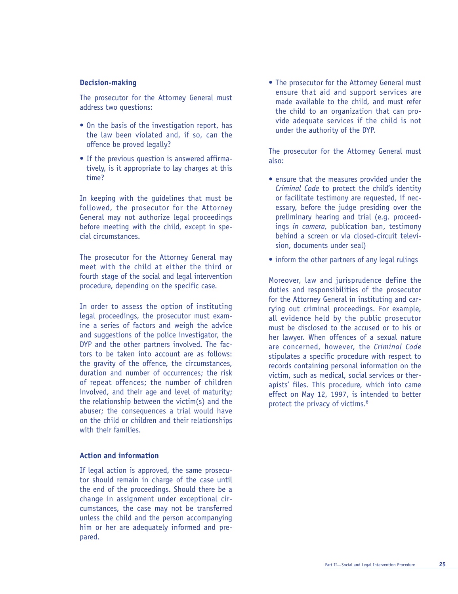#### **Decision-making**

The prosecutor for the Attorney General must address two questions:

- On the basis of the investigation report, has the law been violated and, if so, can the offence be proved legally?
- If the previous question is answered affirmatively, is it appropriate to lay charges at this time?

In keeping with the guidelines that must be followed, the prosecutor for the Attorney General may not authorize legal proceedings before meeting with the child, except in special circumstances.

The prosecutor for the Attorney General may meet with the child at either the third or fourth stage of the social and legal intervention procedure, depending on the specific case.

In order to assess the option of instituting legal proceedings, the prosecutor must examine a series of factors and weigh the advice and suggestions of the police investigator, the DYP and the other partners involved. The factors to be taken into account are as follows: the gravity of the offence, the circumstances, duration and number of occurrences; the risk of repeat offences; the number of children involved, and their age and level of maturity; the relationship between the victim(s) and the abuser; the consequences a trial would have on the child or children and their relationships with their families.

#### **Action and information**

If legal action is approved, the same prosecutor should remain in charge of the case until the end of the proceedings. Should there be a change in assignment under exceptional circumstances, the case may not be transferred unless the child and the person accompanying him or her are adequately informed and prepared.

• The prosecutor for the Attorney General must ensure that aid and support services are made available to the child, and must refer the child to an organization that can provide adequate services if the child is not under the authority of the DYP.

The prosecutor for the Attorney General must also:

- ensure that the measures provided under the *Criminal Code* to protect the child's identity or facilitate testimony are requested, if necessary, before the judge presiding over the preliminary hearing and trial (e.g. proceedings *in camera,* publication ban, testimony behind a screen or via closed-circuit television, documents under seal)
- inform the other partners of any legal rulings

Moreover, law and jurisprudence define the duties and responsibilities of the prosecutor for the Attorney General in instituting and carrying out criminal proceedings. For example, all evidence held by the public prosecutor must be disclosed to the accused or to his or her lawyer. When offences of a sexual nature are concerned, however, the *Criminal Code* stipulates a specific procedure with respect to records containing personal information on the victim, such as medical, social services or therapists' files. This procedure, which into came effect on May 12, 1997, is intended to better protect the privacy of victims.<sup>6</sup>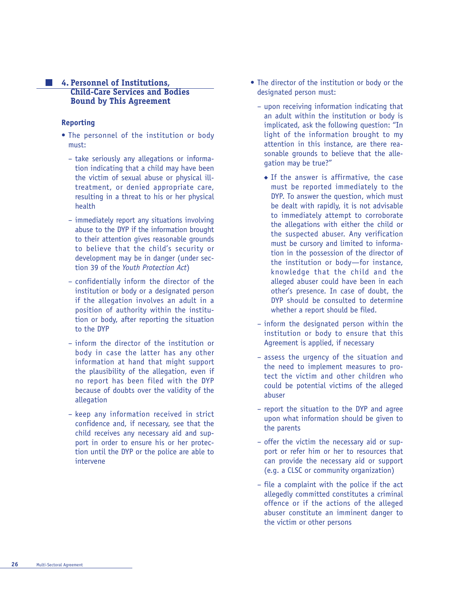#### **4. Personnel of Institutions, Child-Care Services and Bodies Bound by This Agreement**

#### **Reporting**

- The personnel of the institution or body must:
	- take seriously any allegations or information indicating that a child may have been the victim of sexual abuse or physical illtreatment, or denied appropriate care, resulting in a threat to his or her physical health
	- immediately report any situations involving abuse to the DYP if the information brought to their attention gives reasonable grounds to believe that the child's security or development may be in danger (under section 39 of the *Youth Protection Act*)
	- confidentially inform the director of the institution or body or a designated person if the allegation involves an adult in a position of authority within the institution or body, after reporting the situation to the DYP
	- inform the director of the institution or body in case the latter has any other information at hand that might support the plausibility of the allegation, even if no report has been filed with the DYP because of doubts over the validity of the allegation
	- keep any information received in strict confidence and, if necessary, see that the child receives any necessary aid and support in order to ensure his or her protection until the DYP or the police are able to intervene
- The director of the institution or body or the designated person must:
	- upon receiving information indicating that an adult within the institution or body is implicated, ask the following question: "In light of the information brought to my attention in this instance, are there reasonable grounds to believe that the allegation may be true?"
		- ◆ If the answer is affirmative, the case must be reported immediately to the DYP. To answer the question, which must be dealt with rapidly, it is not advisable to immediately attempt to corroborate the allegations with either the child or the suspected abuser. Any verification must be cursory and limited to information in the possession of the director of the institution or body—for instance, knowledge that the child and the alleged abuser could have been in each other's presence. In case of doubt, the DYP should be consulted to determine whether a report should be filed.
	- inform the designated person within the institution or body to ensure that this Agreement is applied, if necessary
	- assess the urgency of the situation and the need to implement measures to protect the victim and other children who could be potential victims of the alleged abuser
	- report the situation to the DYP and agree upon what information should be given to the parents
	- offer the victim the necessary aid or support or refer him or her to resources that can provide the necessary aid or support (e.g. a CLSC or community organization)
	- file a complaint with the police if the act allegedly committed constitutes a criminal offence or if the actions of the alleged abuser constitute an imminent danger to the victim or other persons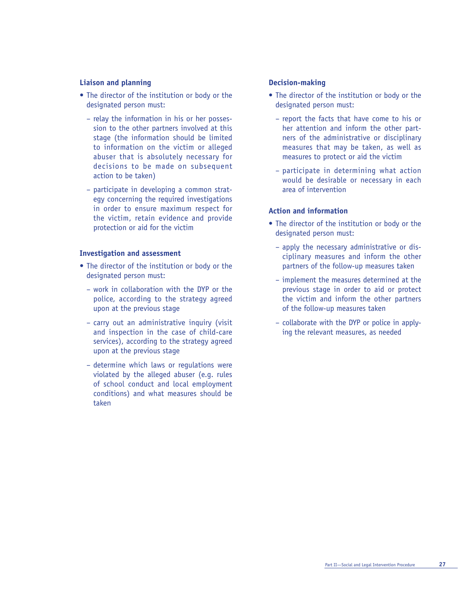#### **Liaison and planning**

- The director of the institution or body or the designated person must:
	- relay the information in his or her possession to the other partners involved at this stage (the information should be limited to information on the victim or alleged abuser that is absolutely necessary for decisions to be made on subsequent action to be taken)
	- participate in developing a common strategy concerning the required investigations in order to ensure maximum respect for the victim, retain evidence and provide protection or aid for the victim

#### **Investigation and assessment**

- The director of the institution or body or the designated person must:
	- work in collaboration with the DYP or the police, according to the strategy agreed upon at the previous stage
	- carry out an administrative inquiry (visit and inspection in the case of child-care services), according to the strategy agreed upon at the previous stage
	- determine which laws or regulations were violated by the alleged abuser (e.g. rules of school conduct and local employment conditions) and what measures should be taken

#### **Decision-making**

- The director of the institution or body or the designated person must:
	- report the facts that have come to his or her attention and inform the other partners of the administrative or disciplinary measures that may be taken, as well as measures to protect or aid the victim
	- participate in determining what action would be desirable or necessary in each area of intervention

#### **Action and information**

- The director of the institution or body or the designated person must:
	- apply the necessary administrative or disciplinary measures and inform the other partners of the follow-up measures taken
	- implement the measures determined at the previous stage in order to aid or protect the victim and inform the other partners of the follow-up measures taken
	- collaborate with the DYP or police in applying the relevant measures, as needed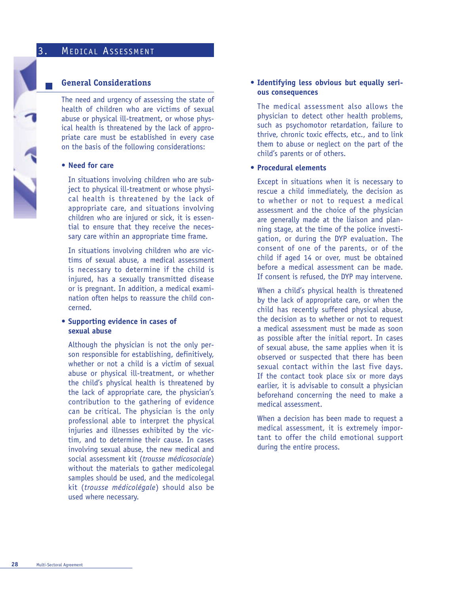#### **General Considerations**

The need and urgency of assessing the state of health of children who are victims of sexual abuse or physical ill-treatment, or whose physical health is threatened by the lack of appropriate care must be established in every case on the basis of the following considerations:

#### **• Need for care**

In situations involving children who are subject to physical ill-treatment or whose physical health is threatened by the lack of appropriate care, and situations involving children who are injured or sick, it is essential to ensure that they receive the necessary care within an appropriate time frame.

In situations involving children who are victims of sexual abuse, a medical assessment is necessary to determine if the child is injured, has a sexually transmitted disease or is pregnant. In addition, a medical examination often helps to reassure the child concerned.

#### **• Supporting evidence in cases of sexual abuse**

Although the physician is not the only person responsible for establishing, definitively, whether or not a child is a victim of sexual abuse or physical ill-treatment, or whether the child's physical health is threatened by the lack of appropriate care, the physician's contribution to the gathering of evidence can be critical. The physician is the only professional able to interpret the physical injuries and illnesses exhibited by the victim, and to determine their cause. In cases involving sexual abuse, the new medical and social assessment kit (*trousse médicosociale*) without the materials to gather medicolegal samples should be used, and the medicolegal kit (*trousse médicolégale*) should also be used where necessary.

#### **• Identifying less obvious but equally serious consequences**

The medical assessment also allows the physician to detect other health problems, such as psychomotor retardation, failure to thrive, chronic toxic effects, etc., and to link them to abuse or neglect on the part of the child's parents or of others.

#### **• Procedural elements**

Except in situations when it is necessary to rescue a child immediately, the decision as to whether or not to request a medical assessment and the choice of the physician are generally made at the liaison and planning stage, at the time of the police investigation, or during the DYP evaluation. The consent of one of the parents, or of the child if aged 14 or over, must be obtained before a medical assessment can be made. If consent is refused, the DYP may intervene.

When a child's physical health is threatened by the lack of appropriate care, or when the child has recently suffered physical abuse, the decision as to whether or not to request a medical assessment must be made as soon as possible after the initial report. In cases of sexual abuse, the same applies when it is observed or suspected that there has been sexual contact within the last five days. If the contact took place six or more days earlier, it is advisable to consult a physician beforehand concerning the need to make a medical assessment.

When a decision has been made to request a medical assessment, it is extremely important to offer the child emotional support during the entire process.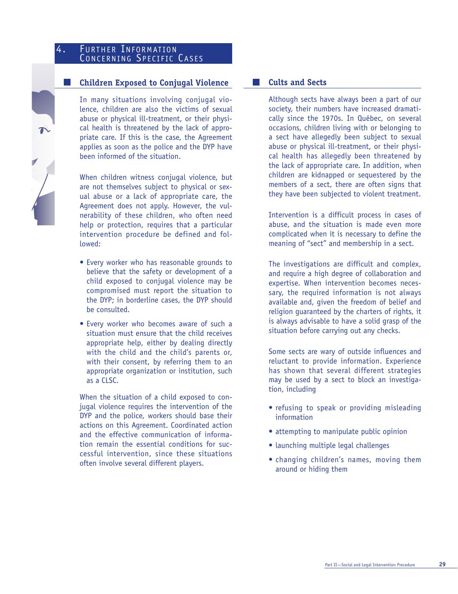## 4. FURTHER INFORMATION CONCERNING SPECIFIC CASES

### **Children Exposed to Conjugal Violence**

In many situations involving conjugal violence, children are also the victims of sexual abuse or physical ill-treatment, or their physical health is threatened by the lack of appropriate care. If this is the case, the Agreement applies as soon as the police and the DYP have been informed of the situation.

When children witness conjugal violence, but are not themselves subject to physical or sexual abuse or a lack of appropriate care, the Agreement does not apply. However, the vulnerability of these children, who often need help or protection, requires that a particular intervention procedure be defined and followed:

- Every worker who has reasonable grounds to believe that the safety or development of a child exposed to conjugal violence may be compromised must report the situation to the DYP; in borderline cases, the DYP should be consulted.
- Every worker who becomes aware of such a situation must ensure that the child receives appropriate help, either by dealing directly with the child and the child's parents or, with their consent, by referring them to an appropriate organization or institution, such as a CLSC.

When the situation of a child exposed to conjugal violence requires the intervention of the DYP and the police, workers should base their actions on this Agreement. Coordinated action and the effective communication of information remain the essential conditions for successful intervention, since these situations often involve several different players.

### **Cults and Sects**

I I

Although sects have always been a part of our society, their numbers have increased dramatically since the 1970s. In Québec, on several occasions, children living with or belonging to a sect have allegedly been subject to sexual abuse or physical ill-treatment, or their physical health has allegedly been threatened by the lack of appropriate care. In addition, when children are kidnapped or sequestered by the members of a sect, there are often signs that they have been subjected to violent treatment.

Intervention is a difficult process in cases of abuse, and the situation is made even more complicated when it is necessary to define the meaning of "sect" and membership in a sect.

The investigations are difficult and complex, and require a high degree of collaboration and expertise. When intervention becomes necessary, the required information is not always available and, given the freedom of belief and religion guaranteed by the charters of rights, it is always advisable to have a solid grasp of the situation before carrying out any checks.

Some sects are wary of outside influences and reluctant to provide information. Experience has shown that several different strategies may be used by a sect to block an investigation, including

- refusing to speak or providing misleading information
- attempting to manipulate public opinion
- launching multiple legal challenges
- changing children's names, moving them around or hiding them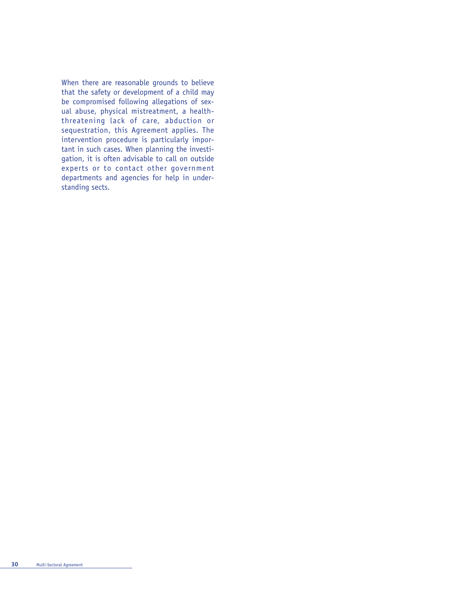When there are reasonable grounds to believe that the safety or development of a child may be compromised following allegations of sexual abuse, physical mistreatment, a healththreatening lack of care, abduction or sequestration, this Agreement applies. The intervention procedure is particularly important in such cases. When planning the investigation, it is often advisable to call on outside experts or to contact other government departments and agencies for help in understanding sects.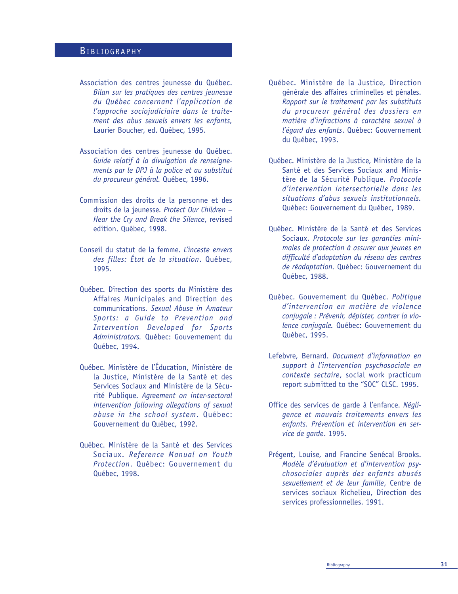## BIBLIOGRAPHY

- Association des centres jeunesse du Québec. *Bilan sur les pratiques des centres jeunesse du Québec concernant l'application de l'approche sociojudiciaire dans le traitement des abus sexuels envers les enfants,* Laurier Boucher, ed. Québec, 1995.
- Association des centres jeunesse du Québec. *Guide relatif à la divulgation de renseignements par le DPJ à la police et au substitut du procureur général.* Québec, 1996.
- Commission des droits de la personne et des droits de la jeunesse. *Protect Our Children – Hear the Cry and Break the Silence*, revised edition. Québec, 1998.
- Conseil du statut de la femme. *L'inceste envers des filles: État de la situation*. Québec, 1995.
- Québec. Direction des sports du Ministère des Affaires Municipales and Direction des communications. *Sexual Abuse in Amateur Sports: a Guide to Prevention and Intervention Developed for Sports Administrators.* Québec: Gouvernement du Québec, 1994.
- Québec. Ministère de l'Éducation, Ministère de la Justice, Ministère de la Santé et des Services Sociaux and Ministère de la Sécurité Publique. *Agreement on inter-sectoral intervention following allegations of sexual abuse in the school system*. Québec: Gouvernement du Québec, 1992.
- Québec. Ministère de la Santé et des Services Sociaux. *Reference Manual on Youth Protection*. Québec: Gouvernement du Québec, 1998.
- Québec. Ministère de la Justice, Direction générale des affaires criminelles et pénales. *Rapport sur le traitement par les substituts du procureur général des dossiers en matière d'infractions à caractère sexuel à l'égard des enfants*. Québec: Gouvernement du Québec, 1993.
- Québec. Ministère de la Justice, Ministère de la Santé et des Services Sociaux and Ministère de la Sécurité Publique. *Protocole d'intervention intersectorielle dans les situations d'abus sexuels institutionnels.* Québec: Gouvernement du Québec, 1989.
- Québec. Ministère de la Santé et des Services Sociaux. *Protocole sur les garanties minimales de protection à assurer aux jeunes en difficulté d'adaptation du réseau des centres de réadaptation.* Québec: Gouvernement du Québec, 1988.
- Québec. Gouvernement du Québec. *Politique d'intervention en matière de violence conjugale : Prévenir, dépister, contrer la violence conjugale.* Québec: Gouvernement du Québec, 1995.
- Lefebvre, Bernard. *Document d'information en support à l'intervention psychosociale en contexte sectaire*, social work practicum report submitted to the "SOC" CLSC. 1995.
- Office des services de garde à l'enfance. *Négligence et mauvais traitements envers les enfants. Prévention et intervention en service de garde*. 1995.
- Prégent, Louise, and Francine Senécal Brooks. *Modèle d'évaluation et d'intervention psychosociales auprès des enfants abusés sexuellement et de leur famille*, Centre de services sociaux Richelieu, Direction des services professionnelles. 1991.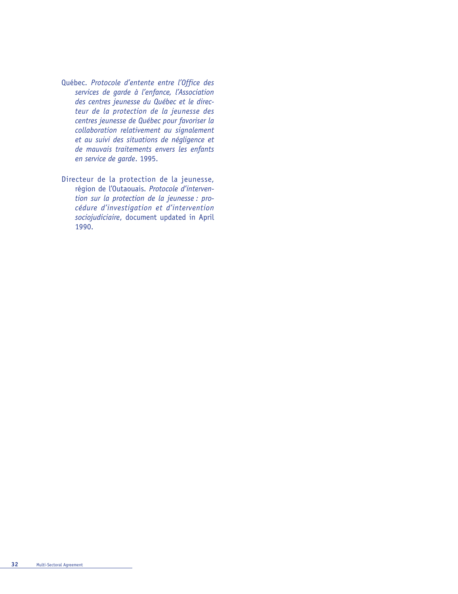- Québec. *Protocole d'entente entre l'Office des services de garde à l'enfance, l'Association des centres jeunesse du Québec et le directeur de la protection de la jeunesse des centres jeunesse de Québec pour favoriser la collaboration relativement au signalement et au suivi des situations de négligence et de mauvais traitements envers les enfants en service de garde*. 1995.
- Directeur de la protection de la jeunesse, région de l'Outaouais. *Protocole d'intervention sur la protection de la jeunesse : procédure d'investigation et d'intervention sociojudiciaire*, document updated in April 1990.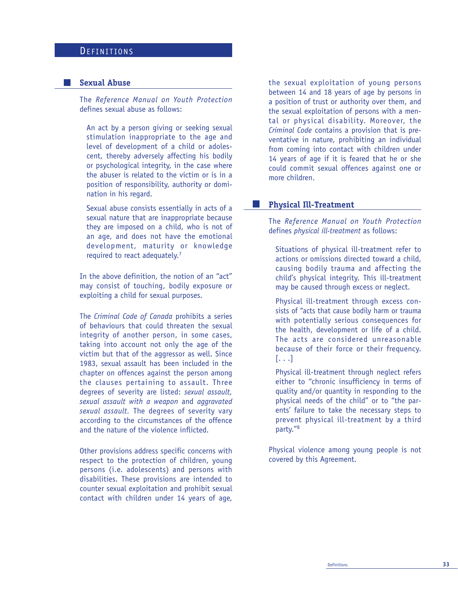## **DEFINITIONS**

#### **Sexual Abuse**

The *Reference Manual on Youth Protection* defines sexual abuse as follows:

An act by a person giving or seeking sexual stimulation inappropriate to the age and level of development of a child or adolescent, thereby adversely affecting his bodily or psychological integrity, in the case where the abuser is related to the victim or is in a position of responsibility, authority or domination in his regard.

Sexual abuse consists essentially in acts of a sexual nature that are inappropriate because they are imposed on a child, who is not of an age, and does not have the emotional development, maturity or knowledge required to react adequately.<sup>7</sup>

In the above definition, the notion of an "act" may consist of touching, bodily exposure or exploiting a child for sexual purposes.

The *Criminal Code of Canada* prohibits a series of behaviours that could threaten the sexual integrity of another person, in some cases, taking into account not only the age of the victim but that of the aggressor as well. Since 1983, sexual assault has been included in the chapter on offences against the person among the clauses pertaining to assault. Three degrees of severity are listed: *sexual assault, sexual assault with a weapon* and *aggravated sexual assault.* The degrees of severity vary according to the circumstances of the offence and the nature of the violence inflicted.

Other provisions address specific concerns with respect to the protection of children, young persons (i.e. adolescents) and persons with disabilities. These provisions are intended to counter sexual exploitation and prohibit sexual contact with children under 14 years of age,

the sexual exploitation of young persons between 14 and 18 years of age by persons in a position of trust or authority over them, and the sexual exploitation of persons with a mental or physical disability. Moreover, the *Criminal Code* contains a provision that is preventative in nature, prohibiting an individual from coming into contact with children under 14 years of age if it is feared that he or she could commit sexual offences against one or more children.

#### **Physical Ill-Treatment**

 $\sim$ 

The *Reference Manual on Youth Protection* defines *physical ill-treatment* as follows:

Situations of physical ill-treatment refer to actions or omissions directed toward a child, causing bodily trauma and affecting the child's physical integrity. This ill-treatment may be caused through excess or neglect.

Physical ill-treatment through excess consists of "acts that cause bodily harm or trauma with potentially serious consequences for the health, development or life of a child. The acts are considered unreasonable because of their force or their frequency. [. . .]

Physical ill-treatment through neglect refers either to "chronic insufficiency in terms of quality and/or quantity in responding to the physical needs of the child" or to "the parents' failure to take the necessary steps to prevent physical ill-treatment by a third party."8

Physical violence among young people is not covered by this Agreement.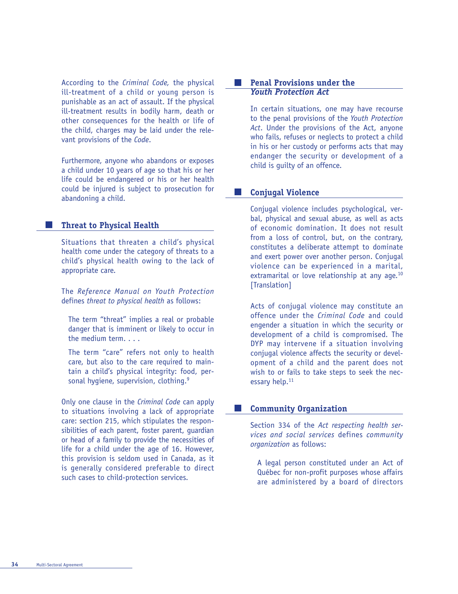According to the *Criminal Code,* the physical ill-treatment of a child or young person is punishable as an act of assault. If the physical ill-treatment results in bodily harm, death or other consequences for the health or life of the child, charges may be laid under the relevant provisions of the *Code*.

Furthermore, anyone who abandons or exposes a child under 10 years of age so that his or her life could be endangered or his or her health could be injured is subject to prosecution for abandoning a child.

#### **Threat to Physical Health**

Situations that threaten a child's physical health come under the category of threats to a child's physical health owing to the lack of appropriate care.

The *Reference Manual on Youth Protection* defines *threat to physical health* as follows:

The term "threat" implies a real or probable danger that is imminent or likely to occur in the medium term. . . .

The term "care" refers not only to health care, but also to the care required to maintain a child's physical integrity: food, personal hygiene, supervision, clothing.<sup>9</sup>

Only one clause in the *Criminal Code* can apply to situations involving a lack of appropriate care: section 215, which stipulates the responsibilities of each parent, foster parent, guardian or head of a family to provide the necessities of life for a child under the age of 16. However, this provision is seldom used in Canada, as it is generally considered preferable to direct such cases to child-protection services.

#### $\sim 10$ **Penal Provisions under the**  *Youth Protection Act*

In certain situations, one may have recourse to the penal provisions of the *Youth Protection Act*. Under the provisions of the Act, anyone who fails, refuses or neglects to protect a child in his or her custody or performs acts that may endanger the security or development of a child is guilty of an offence.

#### **Conjugal Violence The Contract of the Contract of the Contract of the Contract of the Contract of the Contract of the Contract o**

Conjugal violence includes psychological, verbal, physical and sexual abuse, as well as acts of economic domination. It does not result from a loss of control, but, on the contrary, constitutes a deliberate attempt to dominate and exert power over another person. Conjugal violence can be experienced in a marital, extramarital or love relationship at any age.<sup>10</sup> [Translation]

Acts of conjugal violence may constitute an offence under the *Criminal Code* and could engender a situation in which the security or development of a child is compromised. The DYP may intervene if a situation involving conjugal violence affects the security or development of a child and the parent does not wish to or fails to take steps to seek the necessary help.<sup>11</sup>

#### **Community Organization**

Section 334 of the *Act respecting health services and social services* defines *community organization* as follows:

A legal person constituted under an Act of Québec for non-profit purposes whose affairs are administered by a board of directors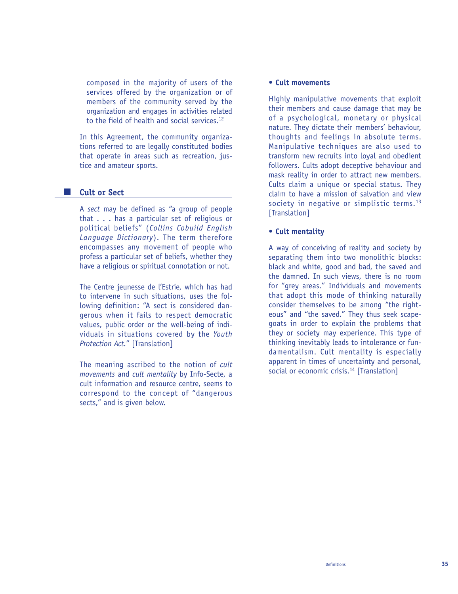composed in the majority of users of the services offered by the organization or of members of the community served by the organization and engages in activities related to the field of health and social services. $12$ 

In this Agreement, the community organizations referred to are legally constituted bodies that operate in areas such as recreation, justice and amateur sports.

#### **Cult or Sect**

A *sect* may be defined as "a group of people that . . . has a particular set of religious or political beliefs" (*Collins Cobuild English Language Dictionary*). The term therefore encompasses any movement of people who profess a particular set of beliefs, whether they have a religious or spiritual connotation or not.

The Centre jeunesse de l'Estrie, which has had to intervene in such situations, uses the following definition: "A sect is considered dangerous when it fails to respect democratic values, public order or the well-being of individuals in situations covered by the *Youth Protection Act.*" [Translation]

The meaning ascribed to the notion of *cult movements* and *cult mentality* by Info-Secte, a cult information and resource centre, seems to correspond to the concept of "dangerous sects," and is given below.

#### **• Cult movements**

Highly manipulative movements that exploit their members and cause damage that may be of a psychological, monetary or physical nature. They dictate their members' behaviour, thoughts and feelings in absolute terms. Manipulative techniques are also used to transform new recruits into loyal and obedient followers. Cults adopt deceptive behaviour and mask reality in order to attract new members. Cults claim a unique or special status. They claim to have a mission of salvation and view society in negative or simplistic terms.<sup>13</sup> [Translation]

#### **• Cult mentality**

A way of conceiving of reality and society by separating them into two monolithic blocks: black and white, good and bad, the saved and the damned. In such views, there is no room for "grey areas." Individuals and movements that adopt this mode of thinking naturally consider themselves to be among "the righteous" and "the saved." They thus seek scapegoats in order to explain the problems that they or society may experience. This type of thinking inevitably leads to intolerance or fundamentalism. Cult mentality is especially apparent in times of uncertainty and personal, social or economic crisis.<sup>14</sup> [Translation]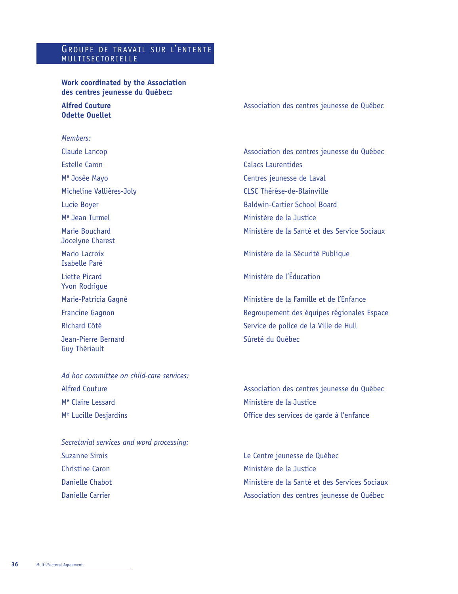## GROUPE DE TRAVAIL SUR L'ENTENTE MULTISECTORIELLE

## **Work coordinated by the Association des centres jeunesse du Québec:**

# **Odette Ouellet**

#### *Members:*

Estelle Caron **Calacs Laurentides** M<sup>e</sup> Josée Mayo **Centres** jeunesse de Laval Micheline Vallières-Joly CLSC Thérèse-de-Blainville M<sup>e</sup> Jean Turmel **Ministère de la Justice** Jocelyne Charest Isabelle Paré Liette Picard **Ministère de l'Éducation** Yvon Rodrigue Jean-Pierre Bernard **Surface de La Contracteur de la Surface de Sûreté du Québec** Guy Thériault

*Ad hoc committee on child-care services:* Alfred Couture **Alfred Couture** Association des centres jeunesse du Québec M<sup>e</sup> Claire Lessard **Ministère de la Justice** Me Lucille Desjardins Office des services de garde à l'enfance

*Secretarial services and word processing:* Suzanne Sirois Le Centre jeunesse de Québec Christine Caron **Ministère de la Justice** 

**Alfred Couture Association des centres jeunesse de Québec Association des centres jeunesse de Québec** 

Claude Lancop **Association des centres jeunesse du Québec** Claude Lancop Lucie Boyer **Baldwin-Cartier School Board** Marie Bouchard Ministère de la Santé et des Service Sociaux

Mario Lacroix Ministère de la Sécurité Publique

Marie-Patricia Gagné Ministère de la Famille et de l'Enfance Francine Gagnon Regroupement des équipes régionales Espace Richard Côté Service de police de la Ville de Hull

Danielle Chabot Ministère de la Santé et des Services Sociaux Danielle Carrier Association des centres jeunesse de Québec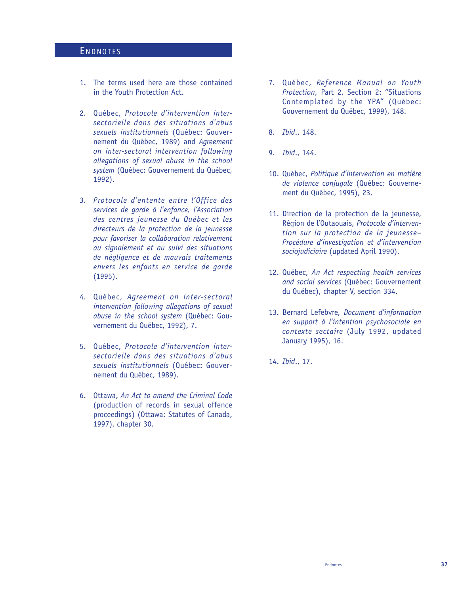## ENDNOTES

- 1. The terms used here are those contained in the Youth Protection Act.
- 2. Québec, *Protocole d'intervention intersectorielle dans des situations d'abus sexuels institutionnels* (Québec: Gouvernement du Québec, 1989) and *Agreement on inter-sectoral intervention following allegations of sexual abuse in the school system* (Québec: Gouvernement du Québec, 1992).
- 3. *Protocole d'entente entre l'Office des services de garde à l'enfance, l'Association des centres jeunesse du Québec et les directeurs de la protection de la jeunesse pour favoriser la collaboration relativement au signalement et au suivi des situations de négligence et de mauvais traitements envers les enfants en service de garde* (1995).
- 4. Québec, *Agreement on inter-sectoral intervention following allegations of sexual abuse in the school system* (Québec: Gouvernement du Québec, 1992), 7.
- 5. Québec, *Protocole d'intervention intersectorielle dans des situations d'abus sexuels institutionnels* (Québec: Gouvernement du Québec, 1989).
- 6. Ottawa, *An Act to amend the Criminal Code* (production of records in sexual offence proceedings) (Ottawa: Statutes of Canada, 1997), chapter 30.
- 7. Québec, *Reference Manual on Youth Protection*, Part 2, Section 2: "Situations Contemplated by the YPA" (Québec: Gouvernement du Québec, 1999), 148.
- 8. *Ibid*., 148.
- 9. *Ibid*., 144.
- 10. Québec, *Politique d'intervention en matière de violence* c*onjugale* (Québec: Gouvernement du Québec, 1995), 23.
- 11. Direction de la protection de la jeunesse, Région de l'Outaouais, *Protocole d'intervention sur la protection de la jeunesse– Procédure d'investigation et d'intervention sociojudiciaire* (updated April 1990).
- 12. Québec, *An Act respecting health services and social services* (Québec: Gouvernement du Québec), chapter V, section 334.
- 13. Bernard Lefebvre, *Document d'information en support à l'intention psychosociale en contexte sectaire* (July 1992, updated January 1995), 16.
- 14. *Ibid*., 17.